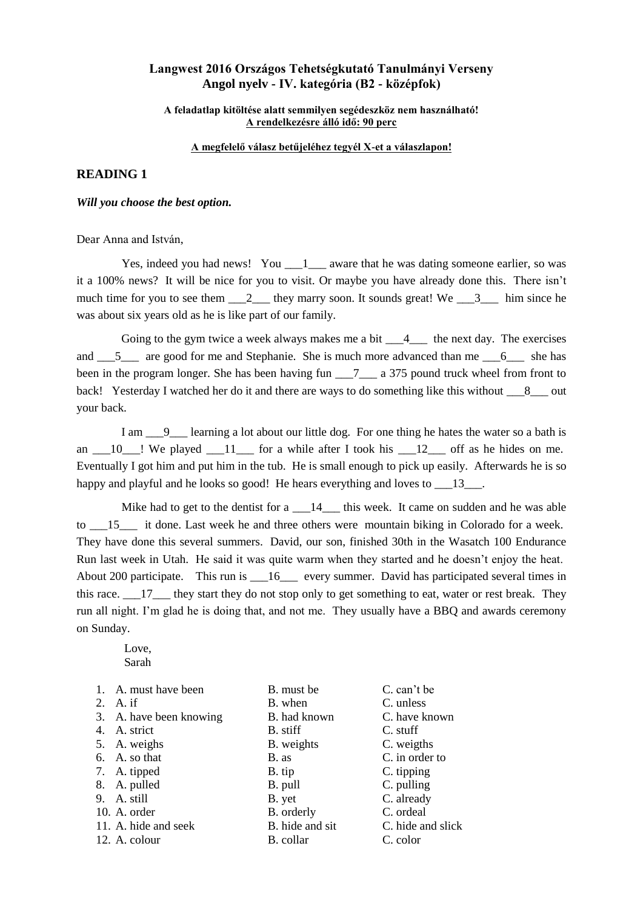## **Langwest 2016 Országos Tehetségkutató Tanulmányi Verseny Angol nyelv - IV. kategória (B2 - középfok)**

### **A feladatlap kitöltése alatt semmilyen segédeszköz nem használható! A rendelkezésre álló idő: 90 perc**

### **A megfelelő válasz betűjeléhez tegyél X-et a válaszlapon!**

### **READING 1**

*Will you choose the best option.*

Dear Anna and István,

Yes, indeed you had news! You 1 aware that he was dating someone earlier, so was it a 100% news? It will be nice for you to visit. Or maybe you have already done this. There isn't much time for you to see them  $\frac{2}{2}$  they marry soon. It sounds great! We  $\frac{3}{2}$  him since he was about six years old as he is like part of our family.

Going to the gym twice a week always makes me a bit  $\frac{4}{4}$  the next day. The exercises and  $\frac{5}{2}$  are good for me and Stephanie. She is much more advanced than me  $\frac{6}{2}$  she has been in the program longer. She has been having fun \_\_\_7\_\_\_ a 375 pound truck wheel from front to back! Yesterday I watched her do it and there are ways to do something like this without 8 out your back.

I am  $\quad$  9 learning a lot about our little dog. For one thing he hates the water so a bath is an  $\frac{10}{10}$ ! We played  $\frac{11}{10}$  for a while after I took his  $\frac{12}{10}$  off as he hides on me. Eventually I got him and put him in the tub. He is small enough to pick up easily. Afterwards he is so happy and playful and he looks so good! He hears everything and loves to  $\qquad 13$ .

Mike had to get to the dentist for a  $\frac{14}{14}$  this week. It came on sudden and he was able to \_\_\_15\_\_\_ it done. Last week he and three others were mountain biking in Colorado for a week. They have done this several summers. David, our son, finished 30th in the Wasatch 100 Endurance Run last week in Utah. He said it was quite warm when they started and he doesn't enjoy the heat. About 200 participate. This run is 16 every summer. David has participated several times in this race.  $\frac{17}{10}$  they start they do not stop only to get something to eat, water or rest break. They run all night. I'm glad he is doing that, and not me. They usually have a BBQ and awards ceremony on Sunday.

 Love, Sarah

- 
- 
- 3. A. have been knowing B. had known C. have known
- 
- 
- 
- 
- 
- 
- 
- 
- 1. A. must have been B. must be C. can't be 2. A. if B. when C. unless B. when C. unless 4. A. strict B. stiff C. stuff 5. A. weighs B. weights C. weigths 7. A. tipped B. tip C. tipping 8. A. pulled B. pull B. pull C. pulling 9. A. still B. yet C. already 10. A. order B. orderly C. ordeal 12. A. colour B. collar C. color
- 6. A. so that B. as C. in order to 11. A. hide and seek B. hide and sit C. hide and slick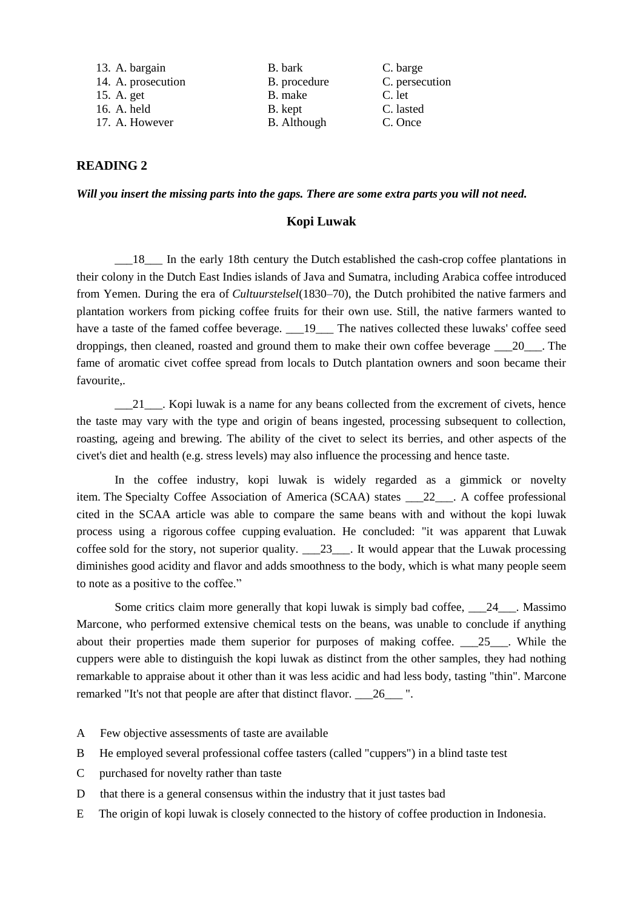| 13. A. bargain     | B. bark            | C. barge       |
|--------------------|--------------------|----------------|
| 14. A. prosecution | B. procedure       | C. persecution |
| 15. A. get         | B. make            | C. let         |
| 16. A. held        | B. kept            | C. lasted      |
| 17. A. However     | <b>B.</b> Although | C. Once        |

### **READING 2**

*Will you insert the missing parts into the gaps. There are some extra parts you will not need.*

### **Kopi Luwak**

\_\_\_18\_\_\_ In the early 18th century the [Dutch](https://en.wikipedia.org/wiki/Dutch_people) established the [cash-crop](https://en.wikipedia.org/wiki/Cash-crop) coffee plantations in their colony in the [Dutch East Indies](https://en.wikipedia.org/wiki/Dutch_East_Indies) islands of Java and Sumatra, including Arabica coffee introduced from Yemen. During the era of *[Cultuurstelsel](https://en.wikipedia.org/wiki/Cultuurstelsel)*(1830[–70\)](https://en.wikipedia.org/wiki/1870), the Dutch prohibited the [native](https://en.wikipedia.org/wiki/Native_Indonesians) farmers and plantation workers from picking coffee fruits for their own use. Still, the native farmers wanted to have a taste of the famed coffee beverage.  $\_\_19\_\_$ The natives collected these luwaks' coffee seed droppings, then cleaned, roasted and ground them to make their own coffee beverage \_\_\_20\_\_\_. The fame of aromatic civet coffee spread from locals to Dutch plantation owners and soon became their favourite,.

 $\frac{21}{21}$ . Kopi luwak is a name for any beans collected from the excrement of civets, hence the taste may vary with the type and origin of beans ingested, processing subsequent to collection, roasting, ageing and brewing. The ability of the civet to select its berries, and other aspects of the civet's diet and health (e.g. stress levels) may also influence the processing and hence taste.

In the coffee industry, kopi luwak is widely regarded as a gimmick or novelty item. The [Specialty Coffee Association of America](https://en.wikipedia.org/wiki/Specialty_Coffee_Association_of_America) (SCAA) states \_\_\_22\_\_\_. A coffee professional cited in the SCAA article was able to compare the same beans with and without the kopi luwak process using a rigorous [coffee cupping](https://en.wikipedia.org/wiki/Coffee_cupping) evaluation. He concluded: "it was apparent that [Luwak](http://warungkopionline.com/)  [coffee](http://warungkopionline.com/) sold for the story, not superior quality. \_\_\_23\_\_\_. It would appear that the Luwak processing diminishes good acidity and flavor and adds smoothness to the body, which is what many people seem to note as a positive to the coffee."

Some critics claim more generally that kopi luwak is simply bad coffee, 24 Rassimo Marcone, who performed extensive chemical tests on the beans, was unable to conclude if anything about their properties made them superior for purposes of making coffee. \_\_\_25\_\_\_. While the cuppers were able to distinguish the kopi luwak as distinct from the other samples, they had nothing remarkable to appraise about it other than it was less acidic and had less body, tasting "thin". Marcone remarked "It's not that people are after that distinct flavor. 26  $\ldots$ ".

- A Few objective assessments of taste are available
- B He employed several professional coffee tasters (called "cuppers") in a blind taste test
- C purchased for novelty rather than taste
- D that there is a general consensus within the industry that it just tastes bad
- E The origin of kopi luwak is closely connected to the history of [coffee production in Indonesia.](https://en.wikipedia.org/wiki/Coffee_production_in_Indonesia)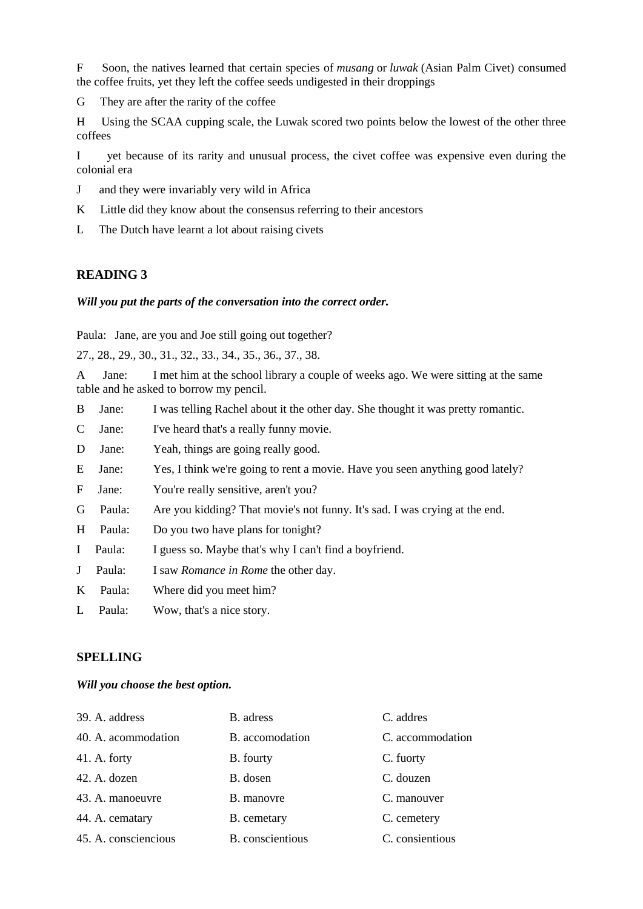F Soon, the natives learned that certain species of *musang* or *luwak* (Asian Palm Civet) consumed the coffee fruits, yet they left the coffee seeds undigested in their droppings

G They are after the rarity of the coffee

H Using the SCAA cupping scale, the Luwak scored two points below the lowest of the other three coffees

I yet because of its rarity and unusual process, the civet coffee was expensive even during the colonial era

- J and they were invariably very wild in Africa
- K Little did they know about the consensus referring to their ancestors
- L The Dutch have learnt a lot about raising civets

### **READING 3**

### *Will you put the parts of the conversation into the correct order.*

Paula: Jane, are you and Joe still going out together?

27., 28., 29., 30., 31., 32., 33., 34., 35., 36., 37., 38.

A Jane: I met him at the school library a couple of weeks ago. We were sitting at the same table and he asked to borrow my pencil.

- B Jane: I was telling Rachel about it the other day. She thought it was pretty romantic.
- C Jane: I've heard that's a really funny movie.
- D Jane: Yeah, things are going really good.
- E Jane: Yes, I think we're going to rent a movie. Have you seen anything good lately?
- F Jane: You're really sensitive, aren't you?
- G Paula: Are you kidding? That movie's not funny. It's sad. I was crying at the end.
- H Paula: Do you two have plans for tonight?
- I Paula: I guess so. Maybe that's why I can't find a boyfriend.
- J Paula: I saw *Romance in Rome* the other day.
- K Paula: Where did you meet him?
- L Paula: Wow, that's a nice story.

## **SPELLING**

#### *Will you choose the best option.*

| 39. A. address       | B. adress        | C. addres        |
|----------------------|------------------|------------------|
| 40. A. acommodation  | B. accomodation  | C. accommodation |
| $41.$ A. forty       | <b>B.</b> fourty | C. fuorty        |
| 42. A. dozen         | B. dosen         | C. douzen        |
| 43. A. manoeuvre     | B. manovre       | C. manouver      |
| 44. A. cematary      | B. cemetary      | C. cemetery      |
| 45. A. consciencious | B. conscientious | C. consientious  |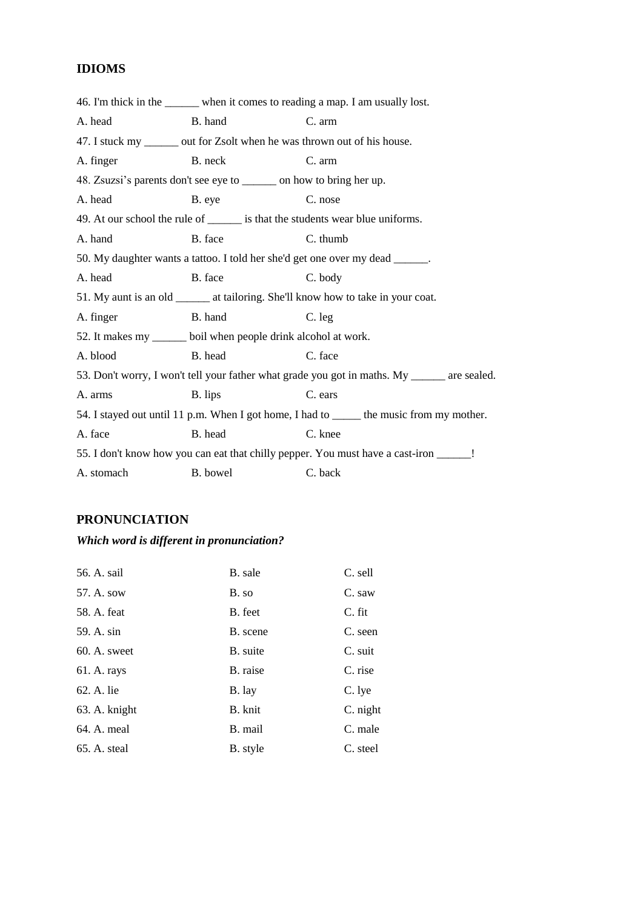# **IDIOMS**

|            |                                                                        | 46. I'm thick in the _______ when it comes to reading a map. I am usually lost.               |
|------------|------------------------------------------------------------------------|-----------------------------------------------------------------------------------------------|
| A. head    | B. hand                                                                | C. arm                                                                                        |
|            |                                                                        | 47. I stuck my _______ out for Zsolt when he was thrown out of his house.                     |
| A. finger  | B. neck                                                                | C. arm                                                                                        |
|            | 48. Zsuzsi's parents don't see eye to ________ on how to bring her up. |                                                                                               |
| A. head    | B. eye                                                                 | C. nose                                                                                       |
|            |                                                                        | 49. At our school the rule of _______ is that the students wear blue uniforms.                |
| A. hand    | B. face                                                                | C. thumb                                                                                      |
|            |                                                                        | 50. My daughter wants a tattoo. I told her she'd get one over my dead ______.                 |
| A. head    | B. face                                                                | C. body                                                                                       |
|            |                                                                        | 51. My aunt is an old ________ at tailoring. She'll know how to take in your coat.            |
| A. finger  | B. hand                                                                | C. leg                                                                                        |
|            | 52. It makes my ______ boil when people drink alcohol at work.         |                                                                                               |
| A. blood   | B. head                                                                | C. face                                                                                       |
|            |                                                                        | 53. Don't worry, I won't tell your father what grade you got in maths. My _______ are sealed. |
| A. arms    | B. lips                                                                | C. ears                                                                                       |
|            |                                                                        | 54. I stayed out until 11 p.m. When I got home, I had to ______ the music from my mother.     |
| A. face    | B. head                                                                | C. knee                                                                                       |
|            |                                                                        | 55. I don't know how you can eat that chilly pepper. You must have a cast-iron _____!         |
| A. stomach | B. bowel                                                               | C. back                                                                                       |

# **PRONUNCIATION**

# *Which word is different in pronunciation?*

| 56. A. sail    | B. sale  | C. sell  |
|----------------|----------|----------|
| 57. A. sow     | B. so    | C. saw   |
| 58. A. feat    | B. feet  | C. fit   |
| 59. A. sin     | B. scene | C. seen  |
| $60. A.$ sweet | B. suite | C. suit  |
| 61. A. rays    | B. raise | C. rise  |
| 62. A. lie     | B. lay   | C. lye   |
| 63. A. knight  | B. knit  | C. night |
| 64. A. meal    | B. mail  | C. male  |
| 65. A. steal   | B. style | C. steel |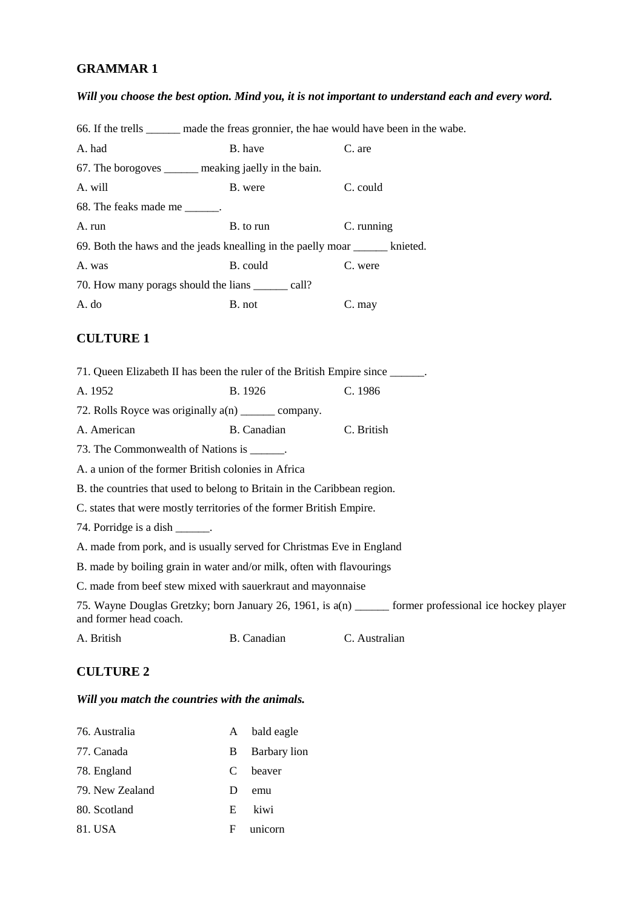# **GRAMMAR 1**

# *Will you choose the best option. Mind you, it is not important to understand each and every word.*

| 66. If the trells _______ made the freas gronnier, the hae would have been in the wabe. |             |                                                                                                       |
|-----------------------------------------------------------------------------------------|-------------|-------------------------------------------------------------------------------------------------------|
| A. had                                                                                  | B. have     | C. are                                                                                                |
| 67. The borogoves _______ meaking jaelly in the bain.                                   |             |                                                                                                       |
| A. will                                                                                 | B. were     | C. could                                                                                              |
| 68. The feaks made me _______.                                                          |             |                                                                                                       |
| A. run                                                                                  | B. to run   | C. running                                                                                            |
| 69. Both the haws and the jeads knealling in the paelly moar ______ knieted.            |             |                                                                                                       |
| A. was                                                                                  | B. could    | C. were                                                                                               |
| 70. How many porags should the lians _______ call?                                      |             |                                                                                                       |
| A. do                                                                                   | B. not      | C. may                                                                                                |
| <b>CULTURE 1</b>                                                                        |             |                                                                                                       |
|                                                                                         |             |                                                                                                       |
| 71. Queen Elizabeth II has been the ruler of the British Empire since ______.           |             |                                                                                                       |
| A. 1952                                                                                 | B. 1926     | C. 1986                                                                                               |
| 72. Rolls Royce was originally a(n) ________ company.                                   |             |                                                                                                       |
| A. American                                                                             | B. Canadian | C. British                                                                                            |
| 73. The Commonwealth of Nations is ______.                                              |             |                                                                                                       |
| A. a union of the former British colonies in Africa                                     |             |                                                                                                       |
| B. the countries that used to belong to Britain in the Caribbean region.                |             |                                                                                                       |
| C. states that were mostly territories of the former British Empire.                    |             |                                                                                                       |
| 74. Porridge is a dish ______.                                                          |             |                                                                                                       |
| A. made from pork, and is usually served for Christmas Eve in England                   |             |                                                                                                       |
| B. made by boiling grain in water and/or milk, often with flavourings                   |             |                                                                                                       |
| C. made from beef stew mixed with sauerkraut and mayonnaise                             |             |                                                                                                       |
| and former head coach.                                                                  |             | 75. Wayne Douglas Gretzky; born January 26, 1961, is a(n) _____ former professional ice hockey player |
| A. British                                                                              | B. Canadian | C. Australian                                                                                         |
|                                                                                         |             |                                                                                                       |

## **CULTURE 2**

## *Will you match the countries with the animals.*

| 76. Australia   | A            | bald eagle   |
|-----------------|--------------|--------------|
| 77. Canada      | В            | Barbary lion |
| 78. England     | C            | heaver       |
| 79. New Zealand | $\mathbf{D}$ | emu          |
| 80. Scotland    | E.           | kiwi         |
| 81. USA         | F            | unicorn      |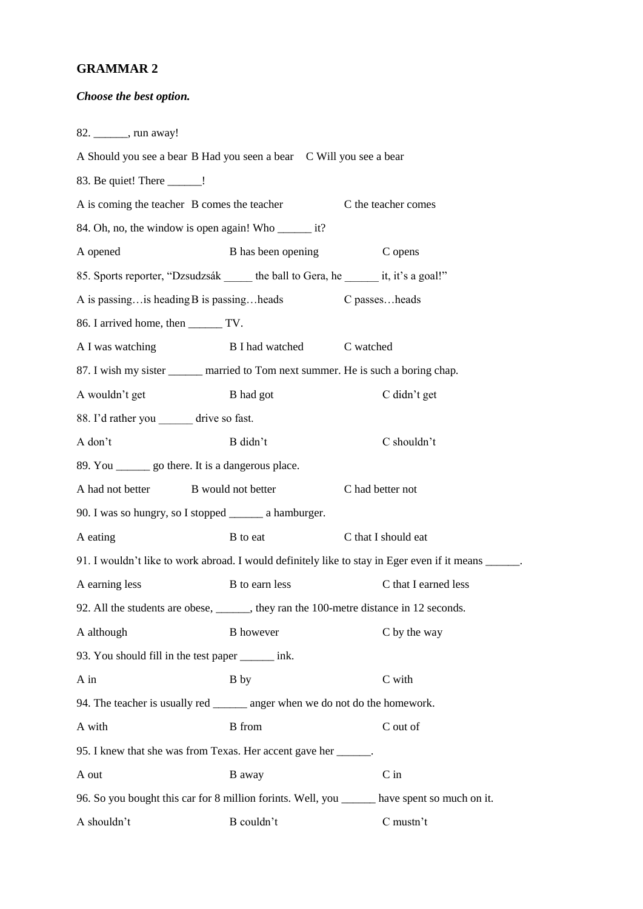## **GRAMMAR 2**

### *Choose the best option.*

82. \_\_\_\_\_\_, run away! A Should you see a bear B Had you seen a bear C Will you see a bear 83. Be quiet! There \_\_\_\_\_\_! A is coming the teacher B comes the teacher C the teacher comes 84. Oh, no, the window is open again! Who \_\_\_\_\_\_\_\_ it? A opened B has been opening C opens 85. Sports reporter, "Dzsudzsák the ball to Gera, he it, it's a goal!" A is passing…is heading B is passing…heads C passes…heads 86. I arrived home, then \_\_\_\_\_\_ TV. A I was watching B I had watched C watched 87. I wish my sister \_\_\_\_\_\_ married to Tom next summer. He is such a boring chap. A wouldn't get B had got C didn't get 88. I'd rather you \_\_\_\_\_\_ drive so fast. A don't B didn't C shouldn't 89. You \_\_\_\_\_\_ go there. It is a dangerous place. A had not better B would not better C had better not 90. I was so hungry, so I stopped \_\_\_\_\_\_ a hamburger. A eating B to eat C that I should eat 91. I wouldn't like to work abroad. I would definitely like to stay in Eger even if it means A earning less B to earn less C that I earned less 92. All the students are obese, \_\_\_\_\_\_, they ran the 100-metre distance in 12 seconds. A although B however C by the way 93. You should fill in the test paper \_\_\_\_\_\_ ink. A in B by C with 94. The teacher is usually red \_\_\_\_\_\_\_\_ anger when we do not do the homework. A with B from B from C out of 95. I knew that she was from Texas. Her accent gave her \_\_\_\_\_\_. A out B away C in 96. So you bought this car for 8 million forints. Well, you \_\_\_\_\_\_ have spent so much on it. A shouldn't B couldn't C mustn't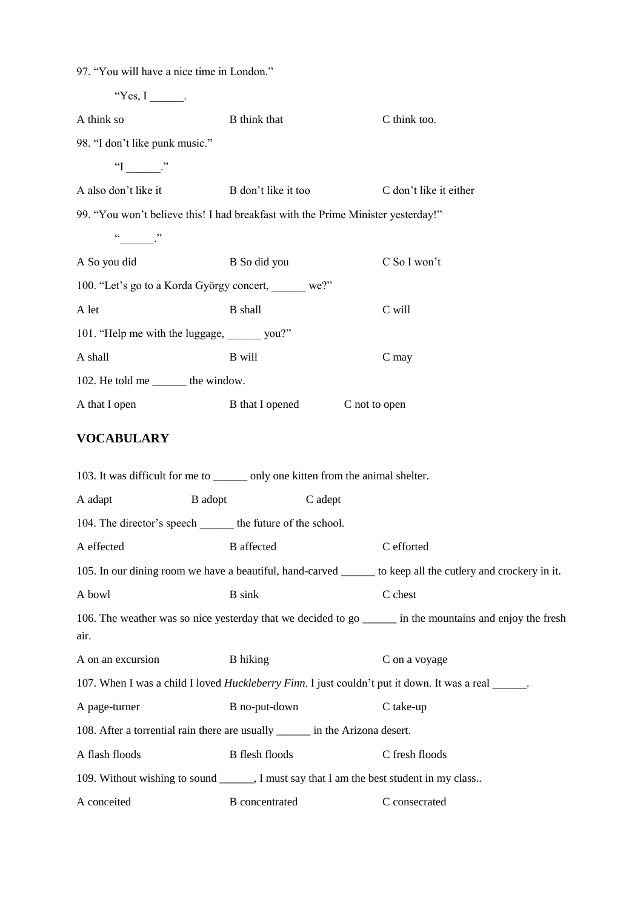97. "You will have a nice time in London."

| "Yes, $I$ ______.                    |                                                                               |                                                                                                              |
|--------------------------------------|-------------------------------------------------------------------------------|--------------------------------------------------------------------------------------------------------------|
| A think so                           | B think that                                                                  | C think too.                                                                                                 |
| 98. "I don't like punk music."       |                                                                               |                                                                                                              |
| " $\Gamma$ $\Gamma$ "                |                                                                               |                                                                                                              |
| A also don't like it                 | B don't like it too                                                           | C don't like it either                                                                                       |
|                                      |                                                                               | 99. "You won't believe this! I had breakfast with the Prime Minister yesterday!"                             |
| $\frac{a}{a}$                        |                                                                               |                                                                                                              |
| A So you did                         | B So did you                                                                  | C So I won't                                                                                                 |
|                                      | 100. "Let's go to a Korda György concert, we?"                                |                                                                                                              |
| A let                                | <b>B</b> shall                                                                | C will                                                                                                       |
|                                      | 101. "Help me with the luggage, ______ you?"                                  |                                                                                                              |
| A shall                              | B will                                                                        | C may                                                                                                        |
| 102. He told me ________ the window. |                                                                               |                                                                                                              |
| A that I open                        | <b>B</b> that I opened                                                        | C not to open                                                                                                |
| <b>VOCABULARY</b>                    |                                                                               |                                                                                                              |
|                                      |                                                                               | 103. It was difficult for me to ________ only one kitten from the animal shelter.                            |
| A adapt                              | B adopt                                                                       | C adept                                                                                                      |
|                                      | 104. The director's speech the future of the school.                          |                                                                                                              |
| A effected                           | <b>B</b> affected                                                             | C efforted                                                                                                   |
|                                      |                                                                               | 105. In our dining room we have a beautiful, hand-carved ______ to keep all the cutlery and crockery in it.  |
| A bowl                               | <b>B</b> sink                                                                 | C chest                                                                                                      |
| air.                                 |                                                                               | 106. The weather was so nice yesterday that we decided to go _______ in the mountains and enjoy the fresh    |
| A on an excursion                    | <b>B</b> hiking                                                               | C on a voyage                                                                                                |
|                                      |                                                                               | 107. When I was a child I loved <i>Huckleberry Finn</i> . I just couldn't put it down. It was a real ______. |
| A page-turner                        | B no-put-down                                                                 | C take-up                                                                                                    |
|                                      | 108. After a torrential rain there are usually _______ in the Arizona desert. |                                                                                                              |
| A flash floods                       | <b>B</b> flesh floods                                                         | C fresh floods                                                                                               |
|                                      |                                                                               | 109. Without wishing to sound _______, I must say that I am the best student in my class                     |
| A conceited                          | <b>B</b> concentrated                                                         | C consecrated                                                                                                |